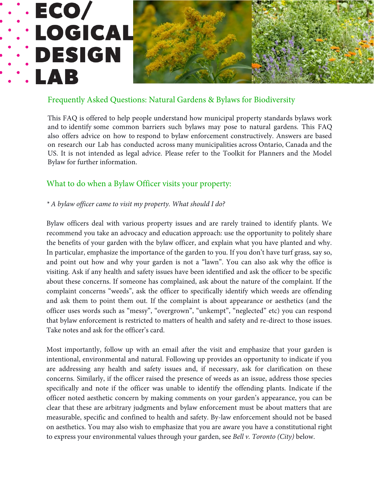

# Frequently Asked Questions: Natural Gardens & Bylaws for Biodiversity

This FAQ is offered to help people understand how municipal property standards bylaws work and to identify some common barriers such bylaws may pose to natural gardens. This FAQ also offers advice on how to respond to bylaw enforcement constructively. Answers are based on research our Lab has conducted across many municipalities across Ontario, Canada and the US. It is not intended as legal advice. Please refer to the Toolkit for Planners and the Model Bylaw for further information.

## What to do when a Bylaw Officer visits your property:

### *\* A bylaw officer came to visit my property. What should I do?*

Bylaw officers deal with various property issues and are rarely trained to identify plants. We recommend you take an advocacy and education approach: use the opportunity to politely share the benefits of your garden with the bylaw officer, and explain what you have planted and why. In particular, emphasize the importance of the garden to you. If you don't have turf grass, say so, and point out how and why your garden is not a "lawn". You can also ask why the office is visiting. Ask if any health and safety issues have been identified and ask the officer to be specific about these concerns. If someone has complained, ask about the nature of the complaint. If the complaint concerns "weeds", ask the officer to specifically identify which weeds are offending and ask them to point them out. If the complaint is about appearance or aesthetics (and the officer uses words such as "messy", "overgrown", "unkempt", "neglected" etc) you can respond that bylaw enforcement is restricted to matters of health and safety and re-direct to those issues. Take notes and ask for the officer's card.

Most importantly, follow up with an email after the visit and emphasize that your garden is intentional, environmental and natural. Following up provides an opportunity to indicate if you are addressing any health and safety issues and, if necessary, ask for clarification on these concerns. Similarly, if the officer raised the presence of weeds as an issue, address those species specifically and note if the officer was unable to identify the offending plants. Indicate if the officer noted aesthetic concern by making comments on your garden's appearance, you can be clear that these are arbitrary judgments and bylaw enforcement must be about matters that are measurable, specific and confined to health and safety. By-law enforcement should not be based on aesthetics. You may also wish to emphasize that you are aware you have a constitutional right to express your environmental values through your garden, see *Bell v. Toronto (City)* below.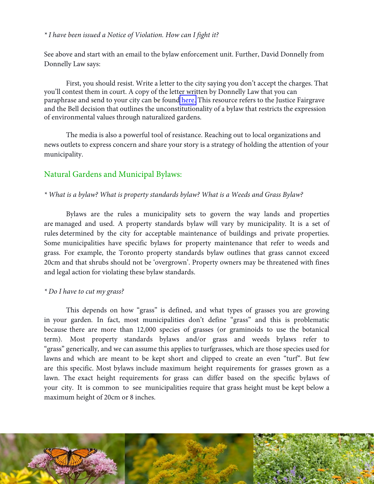### *\* I have been issued a Notice of Violation. How can I fight it?*

See above and start with an email to the bylaw enforcement unit. Further, David Donnelly from Donnelly Law says:

First, you should resist. Write a letter to the city saying you don't accept the charges. That you'll contest them in court. A copy of the letter written by Donnelly Law that you can paraphrase and send to your city can be foun[d here.](https://www.toronto.ca/legdocs/mmis/2021/ph/comm/communicationfile-132170.pdf) This resource refers to the Justice Fairgrave and the Bell decision that outlines the unconstitutionality of a bylaw that restricts the expression of environmental values through naturalized gardens.

The media is also a powerful tool of resistance. Reaching out to local organizations and news outlets to express concern and share your story is a strategy of holding the attention of your municipality.

### Natural Gardens and Municipal Bylaws:

#### *\* What is a bylaw? What is property standards bylaw? What is a Weeds and Grass Bylaw?*

Bylaws are the rules a municipality sets to govern the way lands and properties are managed and used. A property standards bylaw will vary by municipality. It is a set of rules determined by the city for acceptable maintenance of buildings and private properties. Some municipalities have specific bylaws for property maintenance that refer to weeds and grass. For example, the Toronto property standards bylaw outlines that grass cannot exceed 20cm and that shrubs should not be 'overgrown'. Property owners may be threatened with fines and legal action for violating these bylaw standards.

#### *\* Do I have to cut my grass?*

This depends on how "grass" is defined, and what types of grasses you are growing in your garden. In fact, most municipalities don't define "grass" and this is problematic because there are more than 12,000 species of grasses (or graminoids to use the botanical term). Most property standards bylaws and/or grass and weeds bylaws refer to "grass" generically, and we can assume this applies to turfgrasses, which are those species used for lawns and which are meant to be kept short and clipped to create an even "turf". But few are this specific. Most bylaws include maximum height requirements for grasses grown as a lawn. The exact height requirements for grass can differ based on the specific bylaws of your city. It is common to see municipalities require that grass height must be kept below a maximum height of 20cm or 8 inches.

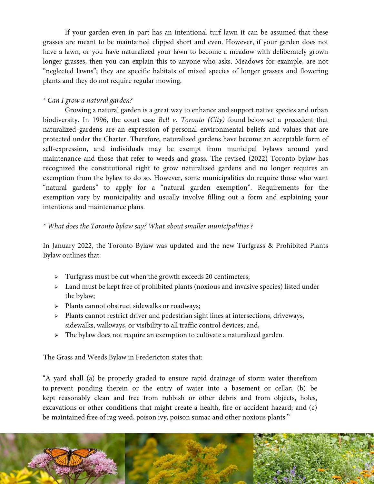If your garden even in part has an intentional turf lawn it can be assumed that these grasses are meant to be maintained clipped short and even. However, if your garden does not have a lawn, or you have naturalized your lawn to become a meadow with deliberately grown longer grasses, then you can explain this to anyone who asks. Meadows for example, are not "neglected lawns"; they are specific habitats of mixed species of longer grasses and flowering plants and they do not require regular mowing.

### *\* Can I grow a natural garden?*

Growing a natural garden is a great way to enhance and support native species and urban biodiversity. In 1996, the court case *Bell v. Toronto (City)* found below set a precedent that naturalized gardens are an expression of personal environmental beliefs and values that are protected under the Charter. Therefore, naturalized gardens have become an acceptable form of self-expression, and individuals may be exempt from municipal bylaws around yard maintenance and those that refer to weeds and grass. The revised (2022) Toronto bylaw has recognized the constitutional right to grow naturalized gardens and no longer requires an exemption from the bylaw to do so. However, some municipalities do require those who want "natural gardens" to apply for a "natural garden exemption". Requirements for the exemption vary by municipality and usually involve filling out a form and explaining your intentions and maintenance plans.

### *\* What does the Toronto bylaw say? What about smaller municipalities ?*

In January 2022, the Toronto Bylaw was updated and the new Turfgrass & Prohibited Plants Bylaw outlines that:

- > Turfgrass must be cut when the growth exceeds 20 centimeters;
- Land must be kept free of prohibited plants (noxious and invasive species) listed under the bylaw;
- > Plants cannot obstruct sidewalks or roadways;
- $\triangleright$  Plants cannot restrict driver and pedestrian sight lines at intersections, driveways, sidewalks, walkways, or visibility to all traffic control devices; and,
- $\triangleright$  The bylaw does not require an exemption to cultivate a naturalized garden.

The Grass and Weeds Bylaw in Fredericton states that:

"A yard shall (a) be properly graded to ensure rapid drainage of storm water therefrom to prevent ponding therein or the entry of water into a basement or cellar; (b) be kept reasonably clean and free from rubbish or other debris and from objects, holes, excavations or other conditions that might create a health, fire or accident hazard; and (c) be maintained free of rag weed, poison ivy, poison sumac and other noxious plants."

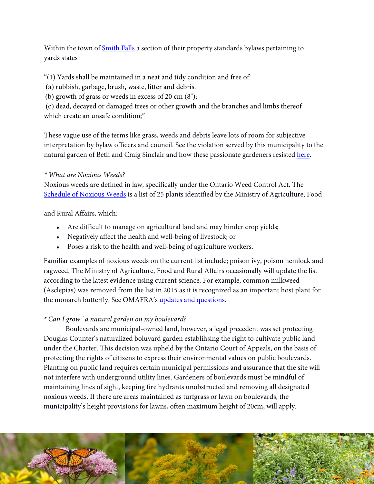Within the town of [Smith Falls](https://www.smithsfalls.ca/media/2017/06/Office-Consolidation-_Property-Standards-By-law-8723-2014.pdf) a section of their property standards bylaws pertaining to yards states

"(1) Yards shall be maintained in a neat and tidy condition and free of:

(a) rubbish, garbage, brush, waste, litter and debris.

(b) growth of grass or weeds in excess of 20 cm (8");

(c) dead, decayed or damaged trees or other growth and the branches and limbs thereof which create an unsafe condition;"

These vague use of the terms like grass, weeds and debris leave lots of room for subjective interpretation by bylaw officers and council. See the violation served by this municipality to the natural garden of Beth and Craig Sinclair and how these passionate gardeners resisted here.

# *\* What are Noxious Weeds?*

Noxious weeds are defined in law, specifically under the Ontario Weed Control Act. The Schedule of Noxious Weeds is a list of 25 plants identified by the Ministry of Agriculture, Food

and Rural Affairs, which:

- Are difficult to manage on agricultural land and may hinder crop yields;
- Negatively affect the health and well-being of livestock; or
- Poses a risk to the health and well-being of agriculture workers.

Familiar examples of noxious weeds on the current list include; poison ivy, poison hemlock and ragweed. The Ministry of Agriculture, Food and Rural Affairs occasionally will update the list according to the latest evidence using current science. For example, common milkweed (Asclepias) was removed from the list in 2015 as it is recognized as an important host plant for the monarch butterfly. See OMAFRA's [updates and questions.](http://www.omafra.gov.on.ca/english/crops/facts/faq_weeds_act.htm) 

# *\* Can I grow `a natural garden on my boulevard?*

Boulevards are municipal-owned land, however, a legal precedent was set protecting Douglas Counter's naturalized boluvard garden establihsing the right to cultivate public land under the Charter. This decision was upheld by the Ontario Court of Appeals, on the basis of protecting the rights of citizens to express their environmental values on public boulevards. Planting on public land requires certain municipal permissions and assurance that the site will not interfere with underground utility lines. Gardeners of boulevards must be mindful of maintaining lines of sight, keeping fire hydrants unobstructed and removing all designated noxious weeds. If there are areas maintained as turfgrass or lawn on boulevards, the municipality's height provisions for lawns, often maximum height of 20cm, will apply.